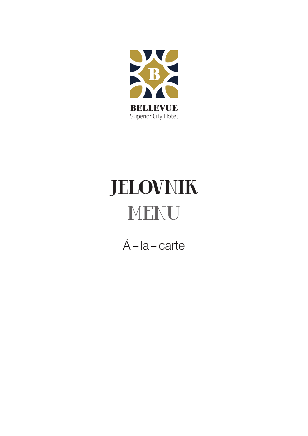

# JELOVNIK MENU

Á – la – carte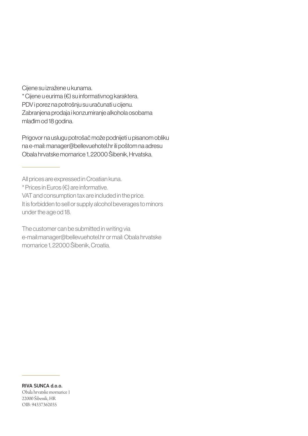Cijene su izražene u kunama.

\* Cijene u eurima (€) su informativnog karaktera. PDV i porez na potrošnju su uračunati u cijenu. Zabranjena prodaja i konzumiranje alkohola osobama mlađim od 18 godina.

Prigovor na uslugu potrošač može podnijeti u pisanom obliku na e-mail: manager@bellevuehotel.hr ili poštom na adresu Obala hrvatske mornarice 1, 22000 Šibenik, Hrvatska.

All prices are expressed in Croatian kuna.

\* Prices in Euros (€) are informative.

VAT and consumption tax are included in the price. It is forbidden to sell or supply alcohol beverages to minors

under the age od 18.

The customer can be submitted in writing via e-mail:manager@bellevuehotel.hr or mail: Obala hrvatske mornarice 1, 22000 Šibenik, Croatia.

RIVA SUNCA d.o.o. Obala hrvatske mornarice 1 22000 Šibenik, HR OIB: 94337362035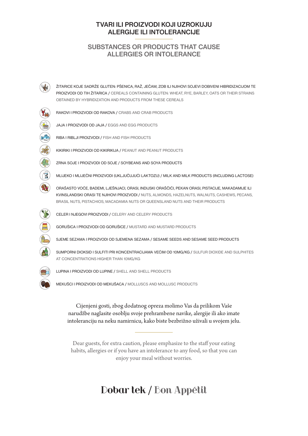#### TVARI ILI PROIZVODI KOJI UZROKUJU ALERGIJE ILI INTOLERANCIJE

#### SUBSTANCES OR PRODUCTS THAT CAUSE ALLERGIES OR INTOLERANCE



ŽITARICE KOJE SADRŽE GLUTEN: PŠENICA, RAŽ, JEČAM, ZOB ILI NJIHOVI SOJEVI DOBIVENI HIBRIDIZACIJOM TE PROIZVODI OD TIH ŽITARICA / CEREALS CONTAINING GLUTEN: WHEAT, RYE, BARLEY, OATS OR THEIR STRAINS OBTAINED BY HYBRIDIZATION AND PRODUCTS FROM THESE CEREALS

RAKOVI I PROIZVODI OD RAKOVA / CRABS AND CRAB PRODUCTS

JAJA I PROIZVODI OD JAJA / EGGS AND EGG PRODUCTS





KIKIRIKI I PROIZVODI OD KIKIRIKIJA / PEANUT AND PEANUT PRODUCTS

ZRNA SOJE I PROIZVODI OD SOJE / SOYBEANS AND SOYA PRODUCTS

MLIJEKO I MLIJEČNI PROIZVODI (UKLJUČUJUĆI LAKTOZU) / MILK AND MILK PRODUCTS (INCLUDING LACTOSE)

ORAŠASTO VOĆE, BADEMI, LJEŠNJACI, ORASI, INDIJSKI ORAŠČIĆI, PEKAN ORASI, PISTACIJE, MAKADAMIJE ILI KVINSLANDSKI ORASI TE NJIHOVI PROIZVODI / NUTS, ALMONDS, HAZELNUTS, WALNUTS, CASHEWS, PECANS, BRASIL NUTS, PISTACHIOS, MACADAMIA NUTS OR QUEENSLAND NUTS AND THEIR PRODUCTS



CELER I NJEGOVI PROIZVODI / CELERY AND CELERY PRODUCTS

GORUŠICA I PROIZVODI OD GORUŠICE / MUSTARD AND MUSTARD PRODUCTS

SJEME SEZAMA I PROIZVODI OD SJEMENA SEZAMA / SESAME SEEDS AND SESAME SEED PRODUCTS

SUMPORNI DIOKSID I SULFITI PRI KONCENTRACIJAMA VEĆIM OD 10MG/KG / SULFUR DIOXIDE AND SULPHITES AT CONCENTRATIONS HIGHER THAN 10MG/KG



LUPINA I PROIZVODI OD LUPINE / SHELL AND SHELL PRODUCTS

MEKUŠCI I PROIZVODI OD MEKUŠACA / MOLLUSCS AND MOLLUSC PRODUCTS

Cijenjeni gosti, zbog dodatnog opreza molimo Vas da prilikom Vaše narudžbe naglasite osoblju svoje prehrambene navike, alergije ili ako imate intoleranciju na neku namirnicu, kako biste bezbrižno uživali u svojem jelu.

Dear guests, for extra caution, please emphasize to the staff your eating habits, allergies or if you have an intolerance to any food, so that you can enjoy your meal without worries.

## Dobar tek / Bon Appétit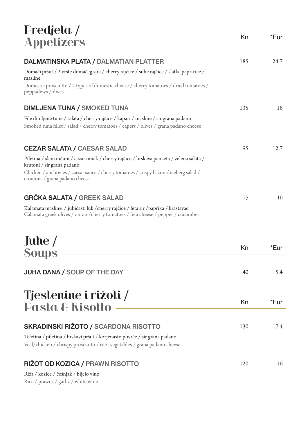| Predjela /                                                                                                                                                                 | Kn  | *Eur |
|----------------------------------------------------------------------------------------------------------------------------------------------------------------------------|-----|------|
| <b>Appetizers</b>                                                                                                                                                          |     |      |
| DALMATINSKA PLATA / DALMATIAN PLATTER                                                                                                                                      | 185 | 24.7 |
| Domaći pršut / 2 vrste domaćeg sira / cherry rajčice / suhe rajčice / slatke papričice /<br>masline                                                                        |     |      |
| Domestic prosciutto / 2 types of domestic cheese / cherry tomatoes / dried tomatoes /<br>peppadews / olives                                                                |     |      |
| <b>DIMLJENA TUNA / SMOKED TUNA</b>                                                                                                                                         | 135 | 18   |
| File dimljene tune / salata / cherry rajčice / kapari / masline / sir grana padano<br>Smoked tuna fillet / salad / cherry tomatoes / capers / olives / grana padano cheese |     |      |
| <b>CEZAR SALATA / CAESAR SALAD</b>                                                                                                                                         | 95  | 12.7 |
| Piletina / slani inčuni / cezar umak / cherry rajčice / hrskava panceta / zelena salata /<br>krutoni / sir grana padano                                                    |     |      |
| Chicken / anchovies / caesar sauce / cherry tomatoes / crispy bacon / iceberg salad /<br>croutons / grana padano cheese                                                    |     |      |
| <b>GRČKA SALATA / GREEK SALAD</b>                                                                                                                                          | 75  | 10   |
| Kalamata masline /ljubičasti luk /cherry rajčice / feta sir /paprika / krastavac                                                                                           |     |      |

Calamata greek olives / onion /cherry tomatoes / feta cheese / pepper / cucumber

| Juhe $/$<br><b>Soups</b>                                                                      | Kn | *Eur |
|-----------------------------------------------------------------------------------------------|----|------|
| <b>JUHA DANA / SOUP OF THE DAY</b>                                                            | 40 | 5.4  |
| $\mathbf{T}_{\text{total}}$ or $\mathbf{m} \cdot \mathbf{r}$ is $\mathbf{r} \cdot \mathbf{r}$ |    |      |

| 1 destemme i rizoti /<br>Pasta & Risotto                                                                                                                | Kn  | *Eur |
|---------------------------------------------------------------------------------------------------------------------------------------------------------|-----|------|
| <b>SKRADINSKI RIŽOTO / SCARDONA RISOTTO</b>                                                                                                             | 130 | 17.4 |
| Teletina / piletina / hrskavi pršut / korjenasto povrće / sir grana padano<br>Veal/chicken / chrispy prosciutto / root vegetables / grana padano cheese |     |      |
| RIŽOT OD KOZICA / PRAWN RISOTTO                                                                                                                         | 120 | 16   |
| Riža / kozice / češnjak / bijelo vino<br>Rice / prawns / garlic / white wine                                                                            |     |      |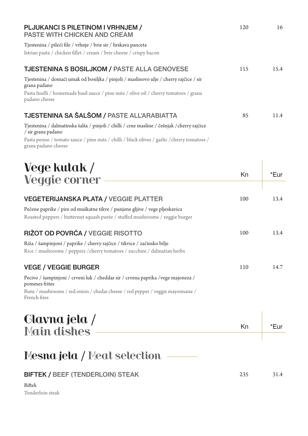| PLJUKANCI S PILETINOM I VRHNJEM /<br><b>PASTE WITH CHICKEN AND CREAM</b>                                                              | 120 | 16   |
|---------------------------------------------------------------------------------------------------------------------------------------|-----|------|
| Tjestenina / pileći file / vrhnje / brie sir / hrskava panceta<br>Istrian pasta / chicken fillet / cream / brie cheese / crispy bacon |     |      |
| <b>TJESTENINA S BOSILJKOM / PASTE ALLA GENOVESE</b>                                                                                   | 115 | 15.4 |
| Tjestenina / domaći umak od bosiljka / pinjoli / maslinovo ulje / cherry rajčice / sir<br>grana padano                                |     |      |
| Pasta fusilli / homemade basil sauce / pine nuts / olive oil / cherry tomatoes / grana<br>padano chesse                               |     |      |
| TJESTENINA SA ŠALŠOM / PASTE ALL'ARABIATTA                                                                                            | 85  | 11.4 |
| Tjestenina / dalmatinska šalša / pinjoli / chilli / crne masline / češnjak / cherry rajčice<br>/ sir grana padano                     |     |      |
| Pasta penne / tomato sauce / pine nuts / chilli / black olives / garlic / cherry tomatoes /<br>grana padano cheese                    |     |      |

## Vege kutak / Veggie corner Kn \*Eur VEGETERIJANSKA PLATA / VEGGIE PLATTER 100 13.4 Pečene paprike / pire od muškatne tikve / punjene gljive / vege pljeskavica Roasted peppers / butternut squash purée / stuffed mushrooms / veggie burger RIŽOT OD POVRĆA / VEGGIE RISOTTO 100 13.4 Riža / šampinjoni / paprike / cherry rajčice / tikvice / začinsko bilje Rice / mushrooms / peppers /cherry tomatoes / zucchini / dalmatian herbs VEGE / VEGGIE BURGER 110 14.7 Pecivo / šampinjoni / crveni luk / cheddar sir / crvena paprika /vege majoneza / pommes frites

Buns / mushrooms / red onion / chedar cheese / red pepper / veggie mayonnaise / French fries

# Glavna jela / Main dishes Main dishes Kn Kn The Main dishes

# Mesna jela / Meat selection

### BIFTEK / BEEF (TENDERLOIN) STEAK 235 31.4

Biftek Tenderloin steak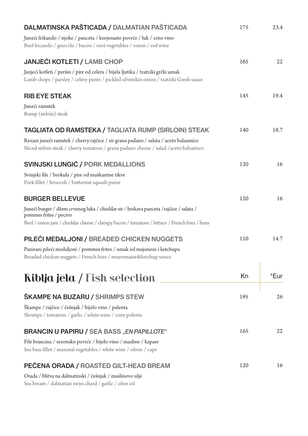| DALMATINSKA PAŠTICADA / DALMATIAN PAŠTICADA                                                                                                                                    | 175 | 23.4 |
|--------------------------------------------------------------------------------------------------------------------------------------------------------------------------------|-----|------|
| Juneći frikando / njoke / panceta / korjenasto povrće / luk / crno vino<br>Beef fricando / gnocchi / bacon / root vegetables / onion / red wine                                |     |      |
| <b>JANJEĆI KOTLETI / LAMB CHOP</b>                                                                                                                                             | 165 | 22   |
| Janjeći kotleti / peršin / pire od celera / bijela ljutika / tzatziki grčki umak<br>Lamb chops / parsley / celery purée / pickled silverskin onion / tzatziki Greek sauce      |     |      |
| <b>RIB EYE STEAK</b>                                                                                                                                                           | 145 | 19.4 |
| Juneći ramstek<br>Rump (sirloin) steak                                                                                                                                         |     |      |
| <b>TAGLIATA OD RAMSTEKA / TAGLIATA RUMP (SIRLOIN) STEAK</b>                                                                                                                    | 140 | 18.7 |
| Rezani juneći ramstek / cherry rajčice / sir grana padano / salata / aceto balsamico<br>Sliced sirloin steak / cherry tomatoes / grana padano cheese / salad / aceto balsamico |     |      |
| <b>SVINJSKI LUNGIĆ / PORK MEDALLIONS</b>                                                                                                                                       | 120 | 16   |
| Svinjski file / brokula / pire od muškantne tikve<br>Pork fillet / broccoli / butternut squash puree                                                                           |     |      |
| <b>BURGER BELLEVUE</b>                                                                                                                                                         | 120 | 16   |
| Juneći burger / džem crvenog luka / cheddar sir / hrskava panceta / rajčice / salata /<br>pommes frites / pecivo                                                               |     |      |
| Beef / onion jam / cheddar cheese / chrispy bacon / tomatoes / lettuce / French fries / buns                                                                                   |     |      |
| PILEĆI MEDALJONI / BREADED CHICKEN NUGGETS                                                                                                                                     | 110 | 14.7 |
| Panirani pileći medaljoni / pommes frites / umak od majoneze i ketchupa<br>Breaded chicken nuggets / French fries / mayonnaise&ketchup souce                                   |     |      |
| Riblja jela / Fish selection                                                                                                                                                   | Kn  | *Eur |
| <b>ŠKAMPE NA BUZARU / SHRIMPS STEW</b>                                                                                                                                         | 195 | 26   |
| Škampe / rajčice / češnjak / bijelo vino / palenta<br>Shrimps / tomatoes / garlic / white wine / corn polenta                                                                  |     |      |
| <b>BRANCIN U PAPIRU / SEA BASS "EN PAPILLOTE"</b>                                                                                                                              | 165 | 22   |
| File brancina / sezonsko povrće / bijelo vino / masline / kapare<br>Sea bass fillet / seasonal vegetables / white wine / olives / cape                                         |     |      |
| PEČENA ORADA / ROASTED GILT-HEAD BREAM                                                                                                                                         | 120 | 16   |
| Orada / blitva na dalmatinski / češnjak / maslinovo ulje<br>Sea bream / dalmatian swiss chard / garlic / olive oil                                                             |     |      |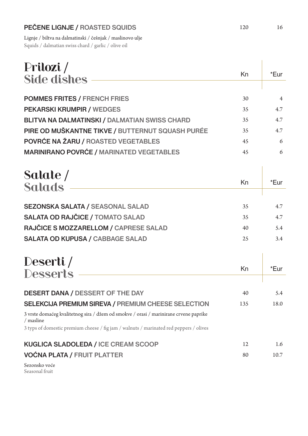### PEČENE LIGNJE / ROASTED SQUIDS 120 16

Lignje / biltva na dalmatinski / češnjak / maslinovo ulje Squids / dalmatian swiss chard / garlic / olive oil

| Prilozi /                                                                                          |     |                |
|----------------------------------------------------------------------------------------------------|-----|----------------|
| <b>Side dishes</b>                                                                                 | Kn  | *Eur           |
|                                                                                                    |     |                |
| <b>POMMES FRITES / FRENCH FRIES</b>                                                                | 30  | $\overline{4}$ |
| <b>PEKARSKI KRUMPIR / WEDGES</b>                                                                   | 35  | 4.7            |
| <b>BLITVA NA DALMATINSKI / DALMATIAN SWISS CHARD</b>                                               | 35  | 4.7            |
| PIRE OD MUŠKANTNE TIKVE / BUTTERNUT SQUASH PURÉE                                                   | 35  | 4.7            |
| POVRĆE NA ŽARU / ROASTED VEGETABLES                                                                | 45  | 6              |
| <b>MARINIRANO POVRĆE / MARINATED VEGETABLES</b>                                                    | 45  | 6              |
|                                                                                                    |     |                |
| Salate /                                                                                           |     |                |
| <b>Salads</b>                                                                                      | Kn  | *Eur           |
|                                                                                                    |     |                |
| <b>SEZONSKA SALATA / SEASONAL SALAD</b>                                                            | 35  | 4.7            |
| SALATA OD RAJČICE / TOMATO SALAD                                                                   | 35  | 4.7            |
| RAJČICE S MOZZARELLOM / CAPRESE SALAD                                                              | 40  | 5.4            |
| <b>SALATA OD KUPUSA / CABBAGE SALAD</b>                                                            | 25  | 3.4            |
|                                                                                                    |     |                |
| Deserti/                                                                                           |     |                |
| <b>Desserts</b>                                                                                    | Kn  | *Eur           |
|                                                                                                    |     |                |
| <b>DESERT DANA / DESSERT OF THE DAY</b>                                                            | 40  | 5.4            |
| SELEKCIJA PREMIUM SIREVA / PREMIUM CHEESE SELECTION                                                | 135 | 18.0           |
| 3 vrste domaćeg kvalitetnog sira / džem od smokve / orasi / marinirane crvene paprike<br>/ masline |     |                |
| 3 typs of domestic premium cheese / fig jam / walnuts / marinated red peppers / olives             |     |                |
| <b>KUGLICA SLADOLEDA / ICE CREAM SCOOP</b>                                                         | 12  | 1.6            |
| <b>VOĆNA PLATA / FRUIT PLATTER</b>                                                                 | 80  | 10.7           |
| Sezonsko voće<br>Seasonal fruit                                                                    |     |                |